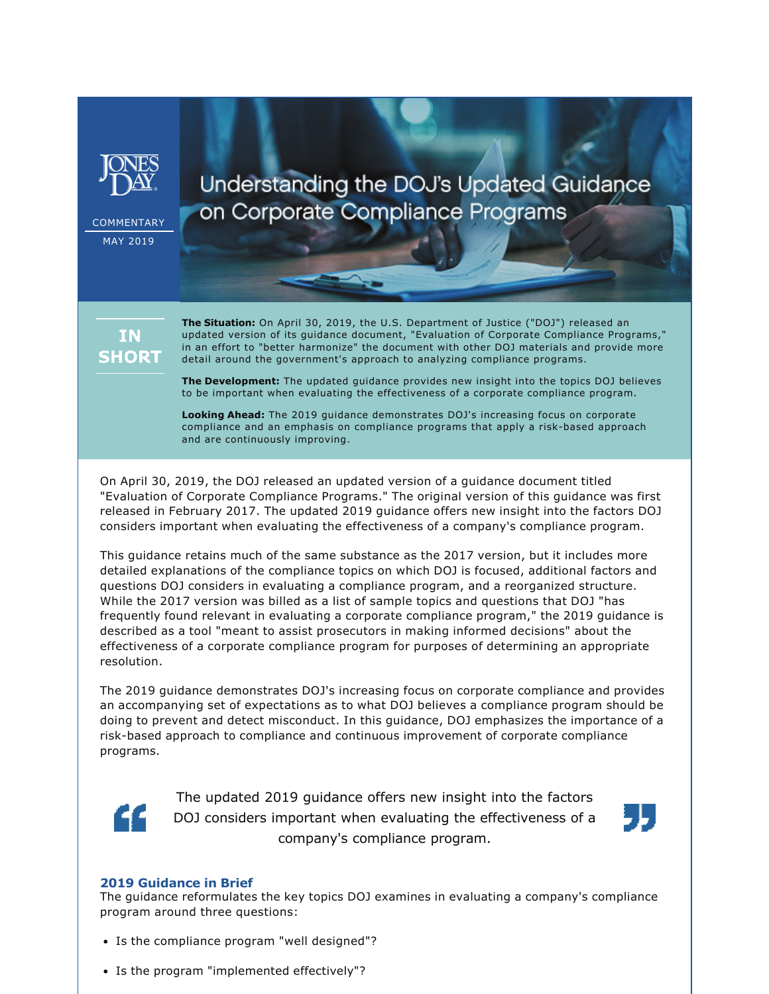

**COMMENTARY** MAY 2019

Understanding the DOJ's Updated Guidance on Corporate Compliance Programs

**IN SHORT**  **The Situation:** On April 30, 2019, the U.S. Department of Justice ("DOJ") released an updated version of its guidance document, "Evaluation of Corporate Compliance Programs," in an effort to "better harmonize" the document with other DOJ materials and provide more detail around the government's approach to analyzing compliance programs.

**The Development:** The updated guidance provides new insight into the topics DOJ believes to be important when evaluating the effectiveness of a corporate compliance program.

**Looking Ahead:** The 2019 guidance demonstrates DOJ's increasing focus on corporate compliance and an emphasis on compliance programs that apply a risk-based approach and are continuously improving.

On April 30, 2019, the DOJ released an updated version of a guidance document titled "Evaluation of Corporate Compliance Programs." The original version of this guidance was first released in February 2017. The updated 2019 guidance offers new insight into the factors DOJ considers important when evaluating the effectiveness of a company's compliance program.

This guidance retains much of the same substance as the 2017 version, but it includes more detailed explanations of the compliance topics on which DOJ is focused, additional factors and questions DOJ considers in evaluating a compliance program, and a reorganized structure. While the 2017 version was billed as a list of sample topics and questions that DOJ "has frequently found relevant in evaluating a corporate compliance program," the 2019 guidance is described as a tool "meant to assist prosecutors in making informed decisions" about the effectiveness of a corporate compliance program for purposes of determining an appropriate resolution.

The 2019 guidance demonstrates DOJ's increasing focus on corporate compliance and provides an accompanying set of expectations as to what DOJ believes a compliance program should be doing to prevent and detect misconduct. In this guidance, DOJ emphasizes the importance of a risk-based approach to compliance and continuous improvement of corporate compliance programs.



The updated 2019 guidance offers new insight into the factors DOJ considers important when evaluating the effectiveness of a company's compliance program.



## **2019 Guidance in Brief**

The guidance reformulates the key topics DOJ examines in evaluating a company's compliance program around three questions:

- Is the compliance program "well designed"?
- Is the program "implemented effectively"?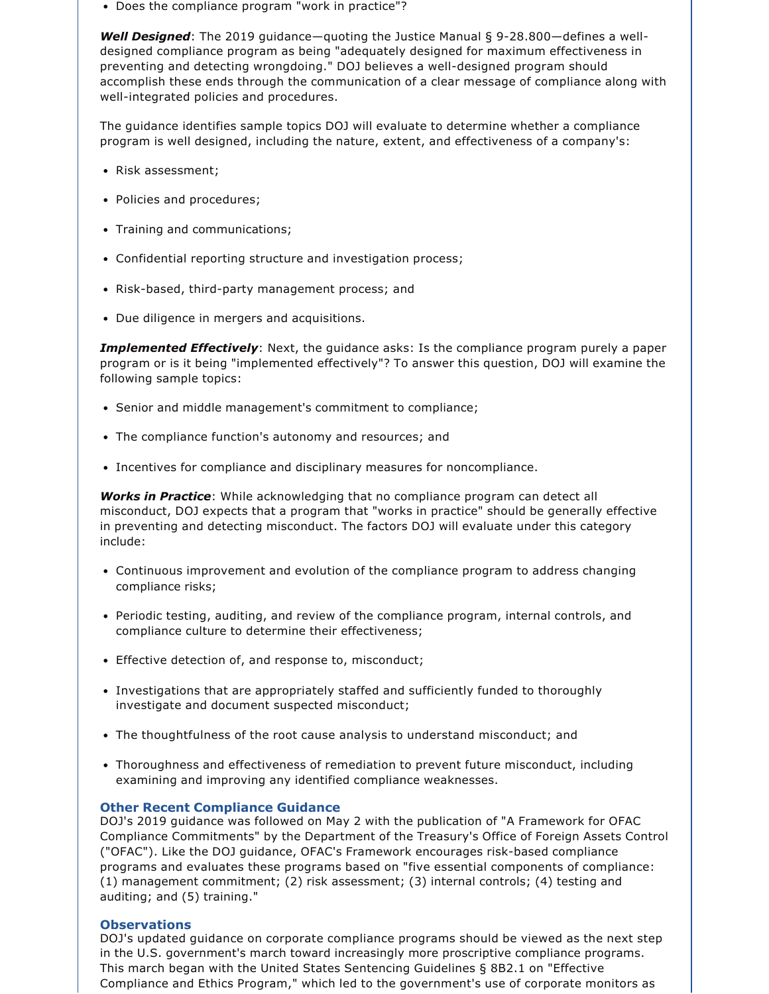• Does the compliance program "work in practice"?

**Well Designed**: The 2019 quidance—quoting the Justice Manual § 9-28.800—defines a welldesigned compliance program as being "adequately designed for maximum effectiveness in preventing and detecting wrongdoing." DOJ believes a well-designed program should accomplish these ends through the communication of a clear message of compliance along with well-integrated policies and procedures.

The guidance identifies sample topics DOJ will evaluate to determine whether a compliance program is well designed, including the nature, extent, and effectiveness of a company's:

- Risk assessment;
- Policies and procedures;
- Training and communications;
- Confidential reporting structure and investigation process;
- Risk-based, third-party management process; and
- Due diligence in mergers and acquisitions.

*Implemented Effectively*: Next, the guidance asks: Is the compliance program purely a paper program or is it being "implemented effectively"? To answer this question, DOJ will examine the following sample topics:

- Senior and middle management's commitment to compliance;
- The compliance function's autonomy and resources; and
- Incentives for compliance and disciplinary measures for noncompliance.

*Works in Practice*: While acknowledging that no compliance program can detect all misconduct, DOJ expects that a program that "works in practice" should be generally effective in preventing and detecting misconduct. The factors DOJ will evaluate under this category include:

- Continuous improvement and evolution of the compliance program to address changing compliance risks;
- Periodic testing, auditing, and review of the compliance program, internal controls, and compliance culture to determine their effectiveness;
- Effective detection of, and response to, misconduct;
- Investigations that are appropriately staffed and sufficiently funded to thoroughly investigate and document suspected misconduct;
- The thoughtfulness of the root cause analysis to understand misconduct; and
- Thoroughness and effectiveness of remediation to prevent future misconduct, including examining and improving any identified compliance weaknesses.

## **Other Recent Compliance Guidance**

DOJ's 2019 guidance was followed on May 2 with the publication of "A Framework for OFAC Compliance Commitments" by the Department of the Treasury's Office of Foreign Assets Control ("OFAC"). Like the DOJ quidance, OFAC's Framework encourages risk-based compliance programs and evaluates these programs based on "five essential components of compliance: (1) management commitment; (2) risk assessment; (3) internal controls; (4) testing and auditing; and (5) training."

# **Observations**

DOJ's updated guidance on corporate compliance programs should be viewed as the next step in the U.S. government's march toward increasingly more proscriptive compliance programs. This march began with the United States Sentencing Guidelines § 8B2.1 on "Effective Compliance and Ethics Program," which led to the government's use of corporate monitors as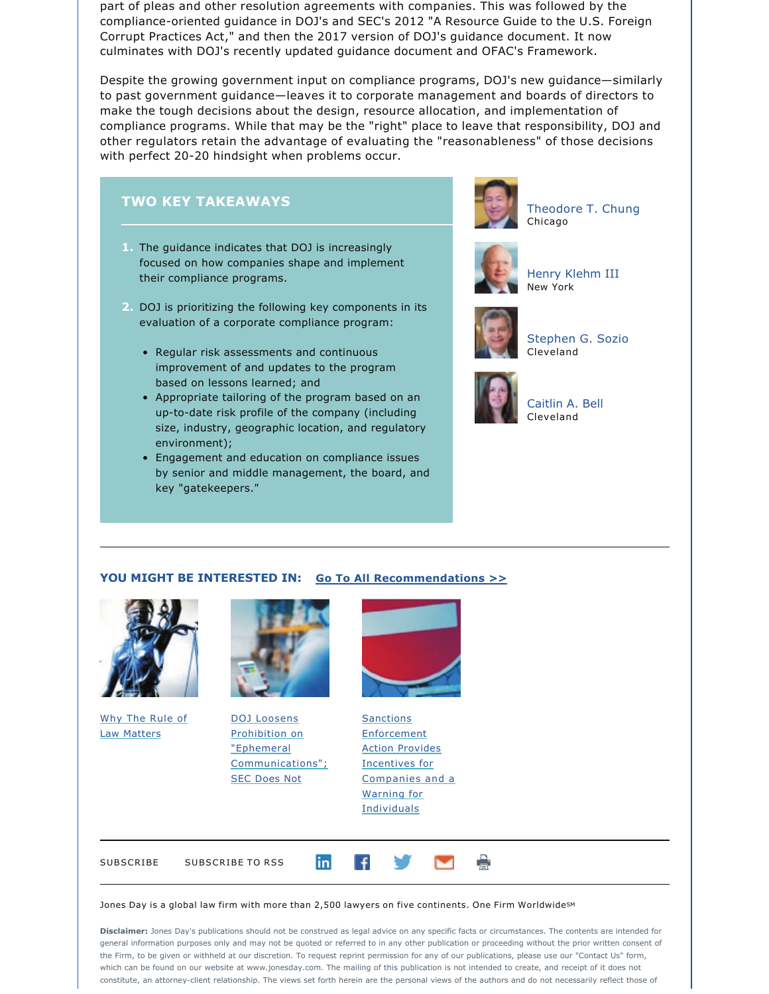part of pleas and other resolution agreements with companies. This was followed by the compliance-oriented guidance in DOJ's and SEC's 2012 "A Resource Guide to the U.S. Foreign Corrupt Practices Act," and then the 2017 version of DOJ's guidance document. It now culminates with DOJ's recently updated guidance document and OFAC's Framework.

Despite the growing government input on compliance programs, DOJ's new guidance—similarly to past government guidance—leaves it to corporate management and boards of directors to make the tough decisions about the design, resource allocation, and implementation of compliance programs. While that may be the "right" place to leave that responsibility, DOJ and other regulators retain the advantage of evaluating the "reasonableness" of those decisions with perfect 20-20 hindsight when problems occur.

# **TWO KEY TAKEAWAYS**

- **1.** The guidance indicates that DOJ is increasingly focused on how companies shape and implement their compliance programs.
- **2.** DOJ is prioritizing the following key components in its evaluation of a corporate compliance program:
	- Regular risk assessments and continuous improvement of and updates to the program based on lessons learned; and
	- Appropriate tailoring of the program based on an up-to-date risk profile of the company (including size, industry, geographic location, and regulatory environment);
	- Engagement and education on compliance issues by senior and middle management, the board, and key "gatekeepers."



[Theodore T. Chung](https://www.jonesday.com/ttchung/) Chicago



[Henry Klehm III](https://www.jonesday.com/hklehm/) New York



[Stephen G. Sozio](https://www.jonesday.com/sgsozio/) Cleveland



[Caitlin A. Bell](https://www.jonesday.com/cbell/) Cleveland

## **YOU MIGHT BE INTERESTED IN: [Go To All Recommendations >>](https://www.jonesday.com/investigationswhitecollardefense/?section=Publications)**



[Why The Rule of](https://www.jonesday.com/why-the-rule-of-law-matters-05-01-2019/) [Law Matters](https://www.jonesday.com/why-the-rule-of-law-matters-05-01-2019/)



[DOJ Loosens](https://www.jonesday.com/files/Publication/f700037c-79c4-4787-ad72-84fb4046adf9/Presentation/PublicationAttachment/94b7e3a6-687c-4cca-8c0d-48e80924e188/DOJ%20Loosens%20Prohibition.pdf) [Prohibition on](https://www.jonesday.com/files/Publication/f700037c-79c4-4787-ad72-84fb4046adf9/Presentation/PublicationAttachment/94b7e3a6-687c-4cca-8c0d-48e80924e188/DOJ%20Loosens%20Prohibition.pdf)  ["Ephemeral](https://www.jonesday.com/files/Publication/f700037c-79c4-4787-ad72-84fb4046adf9/Presentation/PublicationAttachment/94b7e3a6-687c-4cca-8c0d-48e80924e188/DOJ%20Loosens%20Prohibition.pdf) [Communications";](https://www.jonesday.com/files/Publication/f700037c-79c4-4787-ad72-84fb4046adf9/Presentation/PublicationAttachment/94b7e3a6-687c-4cca-8c0d-48e80924e188/DOJ%20Loosens%20Prohibition.pdf) [SEC Does Not](https://www.jonesday.com/files/Publication/f700037c-79c4-4787-ad72-84fb4046adf9/Presentation/PublicationAttachment/94b7e3a6-687c-4cca-8c0d-48e80924e188/DOJ%20Loosens%20Prohibition.pdf)



**[Sanctions](https://www.jonesday.com/files/Publication/a77e1ca4-8cae-46c9-90aa-d12f47bb8304/Presentation/PublicationAttachment/1b44352d-eb00-403f-804a-d850625b5f60/OFAC%20Enforcement%20Action.pdf) [Enforcement](https://www.jonesday.com/files/Publication/a77e1ca4-8cae-46c9-90aa-d12f47bb8304/Presentation/PublicationAttachment/1b44352d-eb00-403f-804a-d850625b5f60/OFAC%20Enforcement%20Action.pdf)** [Action Provides](https://www.jonesday.com/files/Publication/a77e1ca4-8cae-46c9-90aa-d12f47bb8304/Presentation/PublicationAttachment/1b44352d-eb00-403f-804a-d850625b5f60/OFAC%20Enforcement%20Action.pdf) [Incentives for](https://www.jonesday.com/files/Publication/a77e1ca4-8cae-46c9-90aa-d12f47bb8304/Presentation/PublicationAttachment/1b44352d-eb00-403f-804a-d850625b5f60/OFAC%20Enforcement%20Action.pdf) [Companies and a](https://www.jonesday.com/files/Publication/a77e1ca4-8cae-46c9-90aa-d12f47bb8304/Presentation/PublicationAttachment/1b44352d-eb00-403f-804a-d850625b5f60/OFAC%20Enforcement%20Action.pdf)  [Warning for](https://www.jonesday.com/files/Publication/a77e1ca4-8cae-46c9-90aa-d12f47bb8304/Presentation/PublicationAttachment/1b44352d-eb00-403f-804a-d850625b5f60/OFAC%20Enforcement%20Action.pdf) **[Individuals](https://www.jonesday.com/files/Publication/a77e1ca4-8cae-46c9-90aa-d12f47bb8304/Presentation/PublicationAttachment/1b44352d-eb00-403f-804a-d850625b5f60/OFAC%20Enforcement%20Action.pdf)** 

[SUBSCRIBE](https://jonesday-ecommunications.com/5/69/landing-pages/preference.asp) SUBSCRIBE TO RSS in  $\uparrow$ 

#### Jones Day is a global law firm with more than 2,500 lawyers on five continents. One Firm Worldwide $^{\mathsf{sm}}$

**Disclaimer:** Jones Day's publications should not be construed as legal advice on any specific facts or circumstances. The contents are intended for general information purposes only and may not be quoted or referred to in any other publication or proceeding without the prior written consent of the Firm, to be given or withheld at our discretion. To request reprint permission for any of our publications, please use our "Contact Us" form, which can be found on our website at www.jonesday.com. The mailing of this publication is not intended to create, and receipt of it does not constitute, an attorney-client relationship. The views set forth herein are the personal views of the authors and do not necessarily reflect those of